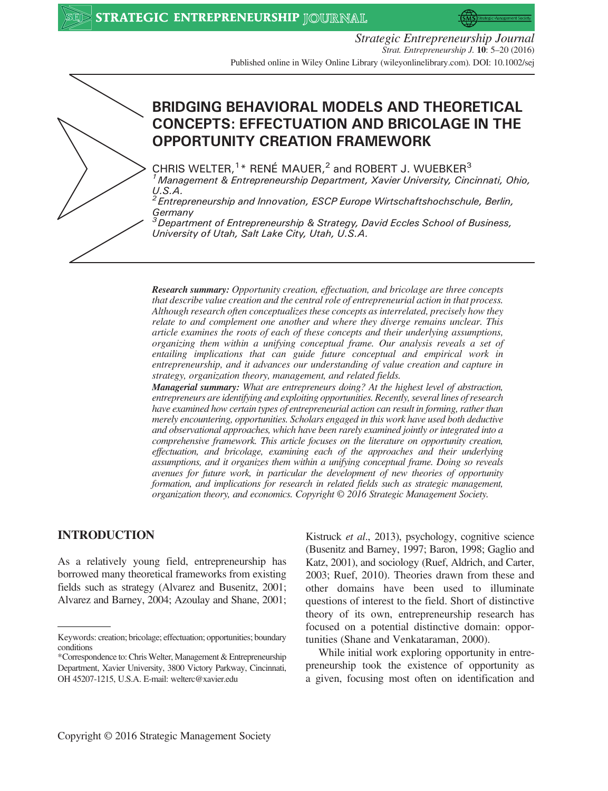

Strategic Entrepreneurship Journal Strat. Entrepreneurship J. 10: 5–20 (2016) Published online in Wiley Online Library (wileyonlinelibrary.com). DOI: 10.1002/sej



# BRIDGING BEHAVIORAL MODELS AND THEORETICAL CONCEPTS: EFFECTUATION AND BRICOLAGE IN THE OPPORTUNITY CREATION FRAMEWORK

CHRIS WELTER, $1*$  RENÉ MAUER, $2$  and ROBERT J. WUEBKER $3$ 1Management & Entrepreneurship Department, Xavier University, Cincinnati, Ohio,  $U.S.A.$ 

2Entrepreneurship and Innovation, ESCP Europe Wirtschaftshochschule, Berlin, **Germany** 

 $3$ Department of Entrepreneurship & Strategy, David Eccles School of Business, University of Utah, Salt Lake City, Utah, U.S.A.

Research summary: Opportunity creation, effectuation, and bricolage are three concepts that describe value creation and the central role of entrepreneurial action in that process. Although research often conceptualizes these concepts as interrelated, precisely how they relate to and complement one another and where they diverge remains unclear. This article examines the roots of each of these concepts and their underlying assumptions, organizing them within a unifying conceptual frame. Our analysis reveals a set of entailing implications that can guide future conceptual and empirical work in entrepreneurship, and it advances our understanding of value creation and capture in strategy, organization theory, management, and related fields.

Managerial summary: What are entrepreneurs doing? At the highest level of abstraction, entrepreneurs are identifying and exploiting opportunities. Recently, several lines of research have examined how certain types of entrepreneurial action can result in forming, rather than merely encountering, opportunities. Scholars engaged in this work have used both deductive and observational approaches, which have been rarely examined jointly or integrated into a comprehensive framework. This article focuses on the literature on opportunity creation, effectuation, and bricolage, examining each of the approaches and their underlying assumptions, and it organizes them within a unifying conceptual frame. Doing so reveals avenues for future work, in particular the development of new theories of opportunity formation, and implications for research in related fields such as strategic management, organization theory, and economics. Copyright © 2016 Strategic Management Society.

## INTRODUCTION

As a relatively young field, entrepreneurship has borrowed many theoretical frameworks from existing fields such as strategy (Alvarez and Busenitz, 2001; Alvarez and Barney, 2004; Azoulay and Shane, 2001; Kistruck et al., 2013), psychology, cognitive science (Busenitz and Barney, 1997; Baron, 1998; Gaglio and Katz, 2001), and sociology (Ruef, Aldrich, and Carter, 2003; Ruef, 2010). Theories drawn from these and other domains have been used to illuminate questions of interest to the field. Short of distinctive theory of its own, entrepreneurship research has focused on a potential distinctive domain: opportunities (Shane and Venkataraman, 2000).

While initial work exploring opportunity in entrepreneurship took the existence of opportunity as a given, focusing most often on identification and

Keywords: creation; bricolage; effectuation; opportunities; boundary conditions

<sup>\*</sup>Correspondence to: ChrisWelter, Management & Entrepreneurship Department, Xavier University, 3800 Victory Parkway, Cincinnati, OH 45207-1215, U.S.A. E-mail: welterc@xavier.edu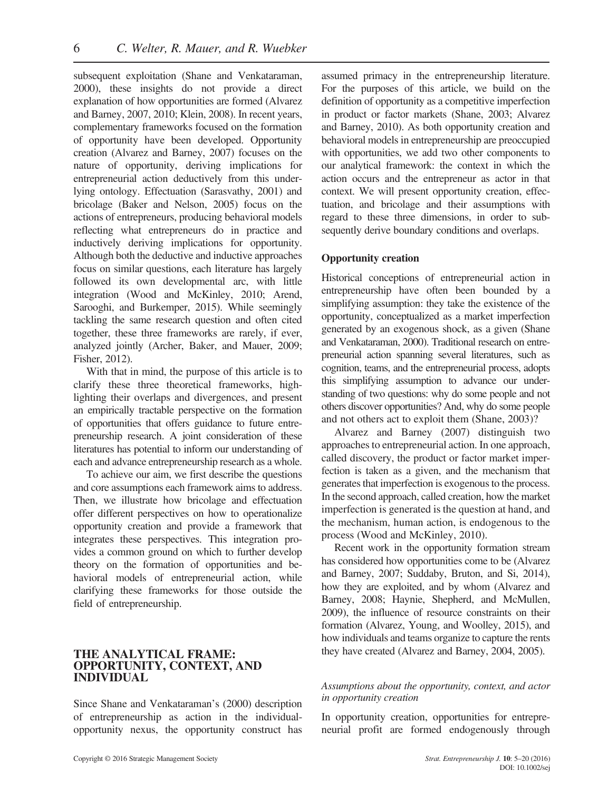subsequent exploitation (Shane and Venkataraman, 2000), these insights do not provide a direct explanation of how opportunities are formed (Alvarez and Barney, 2007, 2010; Klein, 2008). In recent years, complementary frameworks focused on the formation of opportunity have been developed. Opportunity creation (Alvarez and Barney, 2007) focuses on the nature of opportunity, deriving implications for entrepreneurial action deductively from this underlying ontology. Effectuation (Sarasvathy, 2001) and bricolage (Baker and Nelson, 2005) focus on the actions of entrepreneurs, producing behavioral models reflecting what entrepreneurs do in practice and inductively deriving implications for opportunity. Although both the deductive and inductive approaches focus on similar questions, each literature has largely followed its own developmental arc, with little integration (Wood and McKinley, 2010; Arend, Sarooghi, and Burkemper, 2015). While seemingly tackling the same research question and often cited together, these three frameworks are rarely, if ever, analyzed jointly (Archer, Baker, and Mauer, 2009; Fisher, 2012).

With that in mind, the purpose of this article is to clarify these three theoretical frameworks, highlighting their overlaps and divergences, and present an empirically tractable perspective on the formation of opportunities that offers guidance to future entrepreneurship research. A joint consideration of these literatures has potential to inform our understanding of each and advance entrepreneurship research as a whole.

To achieve our aim, we first describe the questions and core assumptions each framework aims to address. Then, we illustrate how bricolage and effectuation offer different perspectives on how to operationalize opportunity creation and provide a framework that integrates these perspectives. This integration provides a common ground on which to further develop theory on the formation of opportunities and behavioral models of entrepreneurial action, while clarifying these frameworks for those outside the field of entrepreneurship.

## THE ANALYTICAL FRAME: OPPORTUNITY, CONTEXT, AND INDIVIDUAL

Since Shane and Venkataraman's (2000) description of entrepreneurship as action in the individualopportunity nexus, the opportunity construct has

assumed primacy in the entrepreneurship literature. For the purposes of this article, we build on the definition of opportunity as a competitive imperfection in product or factor markets (Shane, 2003; Alvarez and Barney, 2010). As both opportunity creation and behavioral models in entrepreneurship are preoccupied with opportunities, we add two other components to our analytical framework: the context in which the action occurs and the entrepreneur as actor in that context. We will present opportunity creation, effectuation, and bricolage and their assumptions with regard to these three dimensions, in order to subsequently derive boundary conditions and overlaps.

## Opportunity creation

Historical conceptions of entrepreneurial action in entrepreneurship have often been bounded by a simplifying assumption: they take the existence of the opportunity, conceptualized as a market imperfection generated by an exogenous shock, as a given (Shane and Venkataraman, 2000). Traditional research on entrepreneurial action spanning several literatures, such as cognition, teams, and the entrepreneurial process, adopts this simplifying assumption to advance our understanding of two questions: why do some people and not others discover opportunities? And, why do some people and not others act to exploit them (Shane, 2003)?

Alvarez and Barney (2007) distinguish two approaches to entrepreneurial action. In one approach, called discovery, the product or factor market imperfection is taken as a given, and the mechanism that generates that imperfection is exogenous to the process. In the second approach, called creation, how the market imperfection is generated is the question at hand, and the mechanism, human action, is endogenous to the process (Wood and McKinley, 2010).

Recent work in the opportunity formation stream has considered how opportunities come to be (Alvarez and Barney, 2007; Suddaby, Bruton, and Si, 2014), how they are exploited, and by whom (Alvarez and Barney, 2008; Haynie, Shepherd, and McMullen, 2009), the influence of resource constraints on their formation (Alvarez, Young, and Woolley, 2015), and how individuals and teams organize to capture the rents they have created (Alvarez and Barney, 2004, 2005).

## Assumptions about the opportunity, context, and actor in opportunity creation

In opportunity creation, opportunities for entrepreneurial profit are formed endogenously through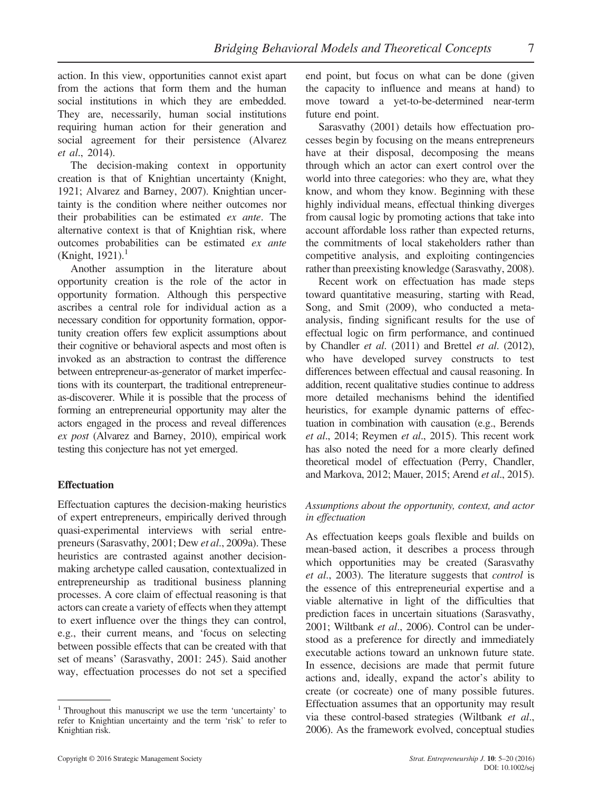action. In this view, opportunities cannot exist apart from the actions that form them and the human social institutions in which they are embedded. They are, necessarily, human social institutions requiring human action for their generation and social agreement for their persistence (Alvarez et al., 2014).

The decision-making context in opportunity creation is that of Knightian uncertainty (Knight, 1921; Alvarez and Barney, 2007). Knightian uncertainty is the condition where neither outcomes nor their probabilities can be estimated ex ante. The alternative context is that of Knightian risk, where outcomes probabilities can be estimated ex ante (Knight, 1921).<sup>1</sup>

Another assumption in the literature about opportunity creation is the role of the actor in opportunity formation. Although this perspective ascribes a central role for individual action as a necessary condition for opportunity formation, opportunity creation offers few explicit assumptions about their cognitive or behavioral aspects and most often is invoked as an abstraction to contrast the difference between entrepreneur-as-generator of market imperfections with its counterpart, the traditional entrepreneuras-discoverer. While it is possible that the process of forming an entrepreneurial opportunity may alter the actors engaged in the process and reveal differences ex post (Alvarez and Barney, 2010), empirical work testing this conjecture has not yet emerged.

## **Effectuation**

Effectuation captures the decision-making heuristics of expert entrepreneurs, empirically derived through quasi-experimental interviews with serial entrepreneurs (Sarasvathy, 2001; Dew et al., 2009a). These heuristics are contrasted against another decisionmaking archetype called causation, contextualized in entrepreneurship as traditional business planning processes. A core claim of effectual reasoning is that actors can create a variety of effects when they attempt to exert influence over the things they can control, e.g., their current means, and 'focus on selecting between possible effects that can be created with that set of means' (Sarasvathy, 2001: 245). Said another way, effectuation processes do not set a specified end point, but focus on what can be done (given the capacity to influence and means at hand) to move toward a yet-to-be-determined near-term future end point.

Sarasvathy (2001) details how effectuation processes begin by focusing on the means entrepreneurs have at their disposal, decomposing the means through which an actor can exert control over the world into three categories: who they are, what they know, and whom they know. Beginning with these highly individual means, effectual thinking diverges from causal logic by promoting actions that take into account affordable loss rather than expected returns, the commitments of local stakeholders rather than competitive analysis, and exploiting contingencies rather than preexisting knowledge (Sarasvathy, 2008).

Recent work on effectuation has made steps toward quantitative measuring, starting with Read, Song, and Smit (2009), who conducted a metaanalysis, finding significant results for the use of effectual logic on firm performance, and continued by Chandler et al. (2011) and Brettel et al. (2012), who have developed survey constructs to test differences between effectual and causal reasoning. In addition, recent qualitative studies continue to address more detailed mechanisms behind the identified heuristics, for example dynamic patterns of effectuation in combination with causation (e.g., Berends et al., 2014; Reymen et al., 2015). This recent work has also noted the need for a more clearly defined theoretical model of effectuation (Perry, Chandler, and Markova, 2012; Mauer, 2015; Arend et al., 2015).

#### Assumptions about the opportunity, context, and actor in effectuation

As effectuation keeps goals flexible and builds on mean-based action, it describes a process through which opportunities may be created (Sarasvathy et al., 2003). The literature suggests that control is the essence of this entrepreneurial expertise and a viable alternative in light of the difficulties that prediction faces in uncertain situations (Sarasvathy, 2001; Wiltbank et al., 2006). Control can be understood as a preference for directly and immediately executable actions toward an unknown future state. In essence, decisions are made that permit future actions and, ideally, expand the actor's ability to create (or cocreate) one of many possible futures. Effectuation assumes that an opportunity may result via these control-based strategies (Wiltbank et al., 2006). As the framework evolved, conceptual studies

 $1$  Throughout this manuscript we use the term 'uncertainty' to refer to Knightian uncertainty and the term 'risk' to refer to Knightian risk.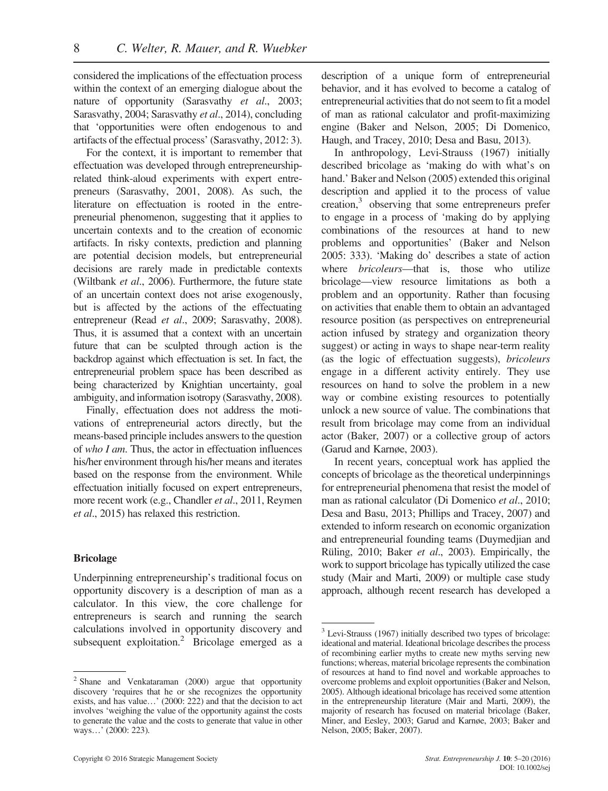considered the implications of the effectuation process within the context of an emerging dialogue about the nature of opportunity (Sarasvathy et al., 2003; Sarasvathy, 2004; Sarasvathy et al., 2014), concluding that 'opportunities were often endogenous to and artifacts of the effectual process' (Sarasvathy, 2012: 3).

For the context, it is important to remember that effectuation was developed through entrepreneurshiprelated think-aloud experiments with expert entrepreneurs (Sarasvathy, 2001, 2008). As such, the literature on effectuation is rooted in the entrepreneurial phenomenon, suggesting that it applies to uncertain contexts and to the creation of economic artifacts. In risky contexts, prediction and planning are potential decision models, but entrepreneurial decisions are rarely made in predictable contexts (Wiltbank et al., 2006). Furthermore, the future state of an uncertain context does not arise exogenously, but is affected by the actions of the effectuating entrepreneur (Read et al., 2009; Sarasvathy, 2008). Thus, it is assumed that a context with an uncertain future that can be sculpted through action is the backdrop against which effectuation is set. In fact, the entrepreneurial problem space has been described as being characterized by Knightian uncertainty, goal ambiguity, and information isotropy (Sarasvathy, 2008).

Finally, effectuation does not address the motivations of entrepreneurial actors directly, but the means-based principle includes answers to the question of who I am. Thus, the actor in effectuation influences his/her environment through his/her means and iterates based on the response from the environment. While effectuation initially focused on expert entrepreneurs, more recent work (e.g., Chandler et al., 2011, Reymen et al., 2015) has relaxed this restriction.

## Bricolage

Underpinning entrepreneurship's traditional focus on opportunity discovery is a description of man as a calculator. In this view, the core challenge for entrepreneurs is search and running the search calculations involved in opportunity discovery and subsequent exploitation.<sup>2</sup> Bricolage emerged as a description of a unique form of entrepreneurial behavior, and it has evolved to become a catalog of entrepreneurial activities that do not seem to fit a model of man as rational calculator and profit-maximizing engine (Baker and Nelson, 2005; Di Domenico, Haugh, and Tracey, 2010; Desa and Basu, 2013).

In anthropology, Levi-Strauss (1967) initially described bricolage as 'making do with what's on hand.' Baker and Nelson (2005) extended this original description and applied it to the process of value creation,3 observing that some entrepreneurs prefer to engage in a process of 'making do by applying combinations of the resources at hand to new problems and opportunities' (Baker and Nelson 2005: 333). 'Making do' describes a state of action where *bricoleurs*—that is, those who utilize bricolage—view resource limitations as both a problem and an opportunity. Rather than focusing on activities that enable them to obtain an advantaged resource position (as perspectives on entrepreneurial action infused by strategy and organization theory suggest) or acting in ways to shape near-term reality (as the logic of effectuation suggests), bricoleurs engage in a different activity entirely. They use resources on hand to solve the problem in a new way or combine existing resources to potentially unlock a new source of value. The combinations that result from bricolage may come from an individual actor (Baker, 2007) or a collective group of actors (Garud and Karnøe, 2003).

In recent years, conceptual work has applied the concepts of bricolage as the theoretical underpinnings for entrepreneurial phenomena that resist the model of man as rational calculator (Di Domenico et al., 2010; Desa and Basu, 2013; Phillips and Tracey, 2007) and extended to inform research on economic organization and entrepreneurial founding teams (Duymedjian and Rüling, 2010; Baker et al., 2003). Empirically, the work to support bricolage has typically utilized the case study (Mair and Marti, 2009) or multiple case study approach, although recent research has developed a

<sup>2</sup> Shane and Venkataraman (2000) argue that opportunity discovery 'requires that he or she recognizes the opportunity exists, and has value…' (2000: 222) and that the decision to act involves 'weighing the value of the opportunity against the costs to generate the value and the costs to generate that value in other ways…' (2000: 223).

<sup>3</sup> Levi-Strauss (1967) initially described two types of bricolage: ideational and material. Ideational bricolage describes the process of recombining earlier myths to create new myths serving new functions; whereas, material bricolage represents the combination of resources at hand to find novel and workable approaches to overcome problems and exploit opportunities (Baker and Nelson, 2005). Although ideational bricolage has received some attention in the entrepreneurship literature (Mair and Marti, 2009), the majority of research has focused on material bricolage (Baker, Miner, and Eesley, 2003; Garud and Karnøe, 2003; Baker and Nelson, 2005; Baker, 2007).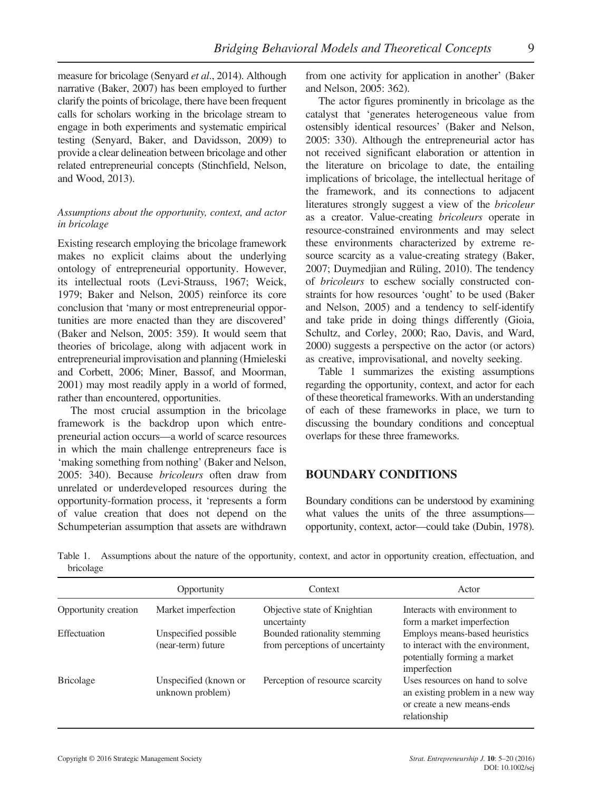measure for bricolage (Senyard et al., 2014). Although narrative (Baker, 2007) has been employed to further clarify the points of bricolage, there have been frequent calls for scholars working in the bricolage stream to engage in both experiments and systematic empirical testing (Senyard, Baker, and Davidsson, 2009) to provide a clear delineation between bricolage and other related entrepreneurial concepts (Stinchfield, Nelson, and Wood, 2013).

## Assumptions about the opportunity, context, and actor in bricolage

Existing research employing the bricolage framework makes no explicit claims about the underlying ontology of entrepreneurial opportunity. However, its intellectual roots (Levi-Strauss, 1967; Weick, 1979; Baker and Nelson, 2005) reinforce its core conclusion that 'many or most entrepreneurial opportunities are more enacted than they are discovered' (Baker and Nelson, 2005: 359). It would seem that theories of bricolage, along with adjacent work in entrepreneurial improvisation and planning (Hmieleski and Corbett, 2006; Miner, Bassof, and Moorman, 2001) may most readily apply in a world of formed, rather than encountered, opportunities.

The most crucial assumption in the bricolage framework is the backdrop upon which entrepreneurial action occurs—a world of scarce resources in which the main challenge entrepreneurs face is 'making something from nothing' (Baker and Nelson, 2005: 340). Because bricoleurs often draw from unrelated or underdeveloped resources during the opportunity-formation process, it 'represents a form of value creation that does not depend on the Schumpeterian assumption that assets are withdrawn

from one activity for application in another' (Baker and Nelson, 2005: 362).

The actor figures prominently in bricolage as the catalyst that 'generates heterogeneous value from ostensibly identical resources' (Baker and Nelson, 2005: 330). Although the entrepreneurial actor has not received significant elaboration or attention in the literature on bricolage to date, the entailing implications of bricolage, the intellectual heritage of the framework, and its connections to adjacent literatures strongly suggest a view of the bricoleur as a creator. Value-creating bricoleurs operate in resource-constrained environments and may select these environments characterized by extreme resource scarcity as a value-creating strategy (Baker, 2007; Duymedjian and Rüling, 2010). The tendency of bricoleurs to eschew socially constructed constraints for how resources 'ought' to be used (Baker and Nelson, 2005) and a tendency to self-identify and take pride in doing things differently (Gioia, Schultz, and Corley, 2000; Rao, Davis, and Ward, 2000) suggests a perspective on the actor (or actors) as creative, improvisational, and novelty seeking.

Table 1 summarizes the existing assumptions regarding the opportunity, context, and actor for each of these theoretical frameworks. With an understanding of each of these frameworks in place, we turn to discussing the boundary conditions and conceptual overlaps for these three frameworks.

# BOUNDARY CONDITIONS

Boundary conditions can be understood by examining what values the units of the three assumptions opportunity, context, actor—could take (Dubin, 1978).

|           | Table 1. Assumptions about the nature of the opportunity, context, and actor in opportunity creation, effectuation, and |  |  |  |  |  |  |
|-----------|-------------------------------------------------------------------------------------------------------------------------|--|--|--|--|--|--|
| bricolage |                                                                                                                         |  |  |  |  |  |  |

|                      | Opportunity                                | Context                                                         | Actor                                                                                                               |
|----------------------|--------------------------------------------|-----------------------------------------------------------------|---------------------------------------------------------------------------------------------------------------------|
| Opportunity creation | Market imperfection                        | Objective state of Knightian<br>uncertainty                     | Interacts with environment to<br>form a market imperfection                                                         |
| Effectuation         | Unspecified possible<br>(near-term) future | Bounded rationality stemming<br>from perceptions of uncertainty | Employs means-based heuristics<br>to interact with the environment,<br>potentially forming a market<br>imperfection |
| <b>Bricolage</b>     | Unspecified (known or<br>unknown problem)  | Perception of resource scarcity                                 | Uses resources on hand to solve<br>an existing problem in a new way<br>or create a new means-ends<br>relationship   |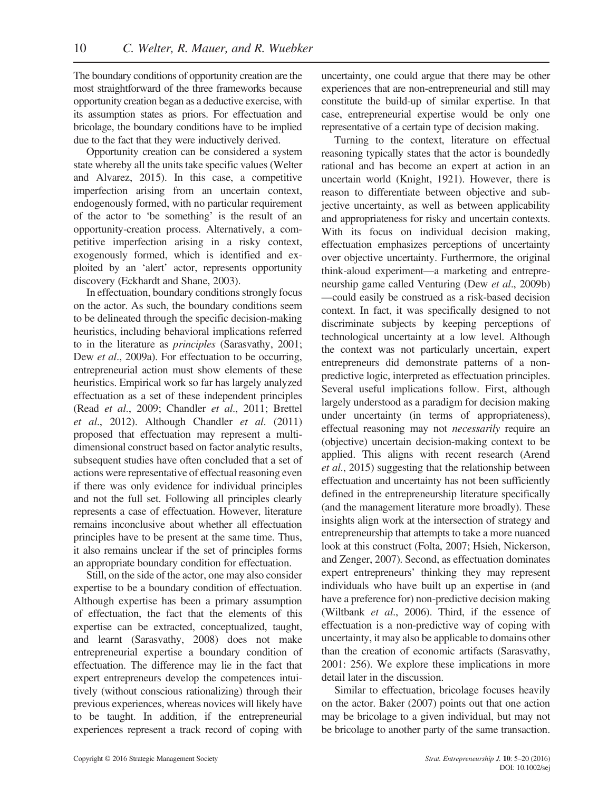The boundary conditions of opportunity creation are the most straightforward of the three frameworks because opportunity creation began as a deductive exercise, with its assumption states as priors. For effectuation and bricolage, the boundary conditions have to be implied due to the fact that they were inductively derived.

Opportunity creation can be considered a system state whereby all the units take specific values (Welter and Alvarez, 2015). In this case, a competitive imperfection arising from an uncertain context, endogenously formed, with no particular requirement of the actor to 'be something' is the result of an opportunity-creation process. Alternatively, a competitive imperfection arising in a risky context, exogenously formed, which is identified and exploited by an 'alert' actor, represents opportunity discovery (Eckhardt and Shane, 2003).

In effectuation, boundary conditions strongly focus on the actor. As such, the boundary conditions seem to be delineated through the specific decision-making heuristics, including behavioral implications referred to in the literature as principles (Sarasvathy, 2001; Dew *et al.*, 2009a). For effectuation to be occurring, entrepreneurial action must show elements of these heuristics. Empirical work so far has largely analyzed effectuation as a set of these independent principles (Read et al., 2009; Chandler et al., 2011; Brettel et al., 2012). Although Chandler et al. (2011) proposed that effectuation may represent a multidimensional construct based on factor analytic results, subsequent studies have often concluded that a set of actions were representative of effectual reasoning even if there was only evidence for individual principles and not the full set. Following all principles clearly represents a case of effectuation. However, literature remains inconclusive about whether all effectuation principles have to be present at the same time. Thus, it also remains unclear if the set of principles forms an appropriate boundary condition for effectuation.

Still, on the side of the actor, one may also consider expertise to be a boundary condition of effectuation. Although expertise has been a primary assumption of effectuation, the fact that the elements of this expertise can be extracted, conceptualized, taught, and learnt (Sarasvathy, 2008) does not make entrepreneurial expertise a boundary condition of effectuation. The difference may lie in the fact that expert entrepreneurs develop the competences intuitively (without conscious rationalizing) through their previous experiences, whereas novices will likely have to be taught. In addition, if the entrepreneurial experiences represent a track record of coping with uncertainty, one could argue that there may be other experiences that are non-entrepreneurial and still may constitute the build-up of similar expertise. In that case, entrepreneurial expertise would be only one representative of a certain type of decision making.

Turning to the context, literature on effectual reasoning typically states that the actor is boundedly rational and has become an expert at action in an uncertain world (Knight, 1921). However, there is reason to differentiate between objective and subjective uncertainty, as well as between applicability and appropriateness for risky and uncertain contexts. With its focus on individual decision making, effectuation emphasizes perceptions of uncertainty over objective uncertainty. Furthermore, the original think-aloud experiment—a marketing and entrepreneurship game called Venturing (Dew et al., 2009b) —could easily be construed as a risk-based decision context. In fact, it was specifically designed to not discriminate subjects by keeping perceptions of technological uncertainty at a low level. Although the context was not particularly uncertain, expert entrepreneurs did demonstrate patterns of a nonpredictive logic, interpreted as effectuation principles. Several useful implications follow. First, although largely understood as a paradigm for decision making under uncertainty (in terms of appropriateness), effectual reasoning may not necessarily require an (objective) uncertain decision-making context to be applied. This aligns with recent research (Arend et al., 2015) suggesting that the relationship between effectuation and uncertainty has not been sufficiently defined in the entrepreneurship literature specifically (and the management literature more broadly). These insights align work at the intersection of strategy and entrepreneurship that attempts to take a more nuanced look at this construct (Folta, 2007; Hsieh, Nickerson, and Zenger, 2007). Second, as effectuation dominates expert entrepreneurs' thinking they may represent individuals who have built up an expertise in (and have a preference for) non-predictive decision making (Wiltbank et al., 2006). Third, if the essence of effectuation is a non-predictive way of coping with uncertainty, it may also be applicable to domains other than the creation of economic artifacts (Sarasvathy, 2001: 256). We explore these implications in more detail later in the discussion.

Similar to effectuation, bricolage focuses heavily on the actor. Baker (2007) points out that one action may be bricolage to a given individual, but may not be bricolage to another party of the same transaction.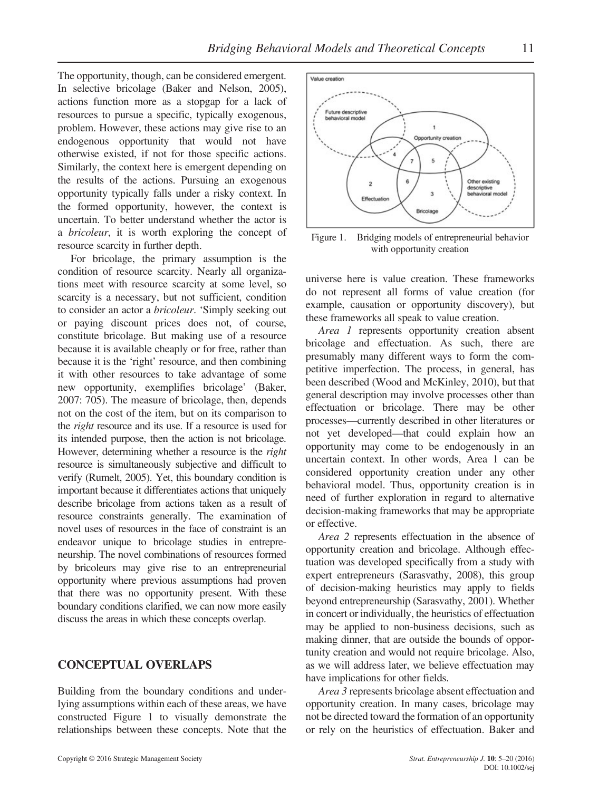The opportunity, though, can be considered emergent. In selective bricolage (Baker and Nelson, 2005), actions function more as a stopgap for a lack of resources to pursue a specific, typically exogenous, problem. However, these actions may give rise to an endogenous opportunity that would not have otherwise existed, if not for those specific actions. Similarly, the context here is emergent depending on the results of the actions. Pursuing an exogenous opportunity typically falls under a risky context. In the formed opportunity, however, the context is uncertain. To better understand whether the actor is a bricoleur, it is worth exploring the concept of resource scarcity in further depth.

For bricolage, the primary assumption is the condition of resource scarcity. Nearly all organizations meet with resource scarcity at some level, so scarcity is a necessary, but not sufficient, condition to consider an actor a bricoleur. 'Simply seeking out or paying discount prices does not, of course, constitute bricolage. But making use of a resource because it is available cheaply or for free, rather than because it is the 'right' resource, and then combining it with other resources to take advantage of some new opportunity, exemplifies bricolage' (Baker, 2007: 705). The measure of bricolage, then, depends not on the cost of the item, but on its comparison to the right resource and its use. If a resource is used for its intended purpose, then the action is not bricolage. However, determining whether a resource is the right resource is simultaneously subjective and difficult to verify (Rumelt, 2005). Yet, this boundary condition is important because it differentiates actions that uniquely describe bricolage from actions taken as a result of resource constraints generally. The examination of novel uses of resources in the face of constraint is an endeavor unique to bricolage studies in entrepreneurship. The novel combinations of resources formed by bricoleurs may give rise to an entrepreneurial opportunity where previous assumptions had proven that there was no opportunity present. With these boundary conditions clarified, we can now more easily discuss the areas in which these concepts overlap.

## CONCEPTUAL OVERLAPS

Building from the boundary conditions and underlying assumptions within each of these areas, we have constructed Figure 1 to visually demonstrate the relationships between these concepts. Note that the



Figure 1. Bridging models of entrepreneurial behavior with opportunity creation

universe here is value creation. These frameworks do not represent all forms of value creation (for example, causation or opportunity discovery), but these frameworks all speak to value creation.

Area 1 represents opportunity creation absent bricolage and effectuation. As such, there are presumably many different ways to form the competitive imperfection. The process, in general, has been described (Wood and McKinley, 2010), but that general description may involve processes other than effectuation or bricolage. There may be other processes—currently described in other literatures or not yet developed—that could explain how an opportunity may come to be endogenously in an uncertain context. In other words, Area 1 can be considered opportunity creation under any other behavioral model. Thus, opportunity creation is in need of further exploration in regard to alternative decision-making frameworks that may be appropriate or effective.

Area 2 represents effectuation in the absence of opportunity creation and bricolage. Although effectuation was developed specifically from a study with expert entrepreneurs (Sarasvathy, 2008), this group of decision-making heuristics may apply to fields beyond entrepreneurship (Sarasvathy, 2001). Whether in concert or individually, the heuristics of effectuation may be applied to non-business decisions, such as making dinner, that are outside the bounds of opportunity creation and would not require bricolage. Also, as we will address later, we believe effectuation may have implications for other fields.

Area 3 represents bricolage absent effectuation and opportunity creation. In many cases, bricolage may not be directed toward the formation of an opportunity or rely on the heuristics of effectuation. Baker and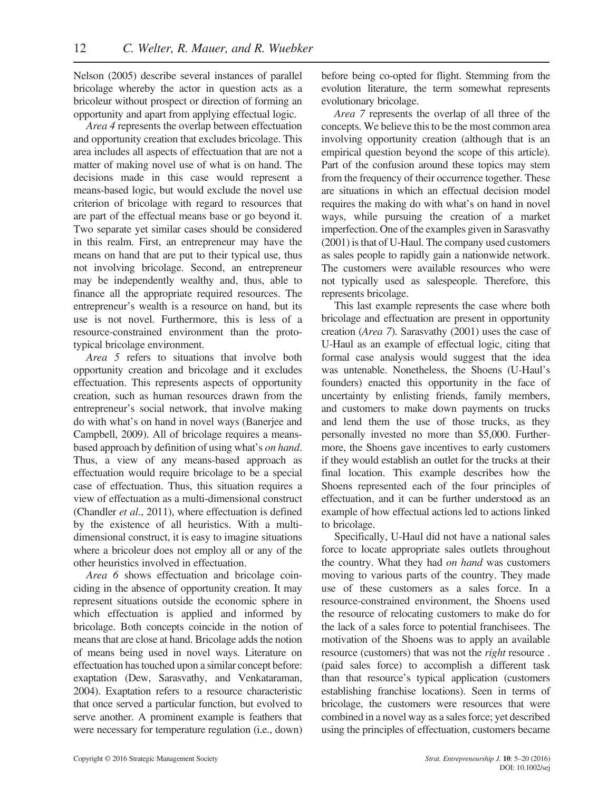Nelson (2005) describe several instances of parallel bricolage whereby the actor in question acts as a bricoleur without prospect or direction of forming an opportunity and apart from applying effectual logic.

Area 4 represents the overlap between effectuation and opportunity creation that excludes bricolage. This area includes all aspects of effectuation that are not a matter of making novel use of what is on hand. The decisions made in this case would represent a means-based logic, but would exclude the novel use criterion of bricolage with regard to resources that are part of the effectual means base or go beyond it. Two separate yet similar cases should be considered in this realm. First, an entrepreneur may have the means on hand that are put to their typical use, thus not involving bricolage. Second, an entrepreneur may be independently wealthy and, thus, able to finance all the appropriate required resources. The entrepreneur's wealth is a resource on hand, but its use is not novel. Furthermore, this is less of a resource-constrained environment than the prototypical bricolage environment.

Area 5 refers to situations that involve both opportunity creation and bricolage and it excludes effectuation. This represents aspects of opportunity creation, such as human resources drawn from the entrepreneur's social network, that involve making do with what's on hand in novel ways (Banerjee and Campbell, 2009). All of bricolage requires a meansbased approach by definition of using what's on hand. Thus, a view of any means-based approach as effectuation would require bricolage to be a special case of effectuation. Thus, this situation requires a view of effectuation as a multi-dimensional construct (Chandler et al., 2011), where effectuation is defined by the existence of all heuristics. With a multidimensional construct, it is easy to imagine situations where a bricoleur does not employ all or any of the other heuristics involved in effectuation.

Area 6 shows effectuation and bricolage coinciding in the absence of opportunity creation. It may represent situations outside the economic sphere in which effectuation is applied and informed by bricolage. Both concepts coincide in the notion of means that are close at hand. Bricolage adds the notion of means being used in novel ways. Literature on effectuation has touched upon a similar concept before: exaptation (Dew, Sarasvathy, and Venkataraman, 2004). Exaptation refers to a resource characteristic that once served a particular function, but evolved to serve another. A prominent example is feathers that were necessary for temperature regulation (i.e., down) before being co-opted for flight. Stemming from the evolution literature, the term somewhat represents evolutionary bricolage.

Area 7 represents the overlap of all three of the concepts. We believe this to be the most common area involving opportunity creation (although that is an empirical question beyond the scope of this article). Part of the confusion around these topics may stem from the frequency of their occurrence together. These are situations in which an effectual decision model requires the making do with what's on hand in novel ways, while pursuing the creation of a market imperfection. One of the examples given in Sarasvathy (2001) is that of U-Haul. The company used customers as sales people to rapidly gain a nationwide network. The customers were available resources who were not typically used as salespeople. Therefore, this represents bricolage.

This last example represents the case where both bricolage and effectuation are present in opportunity creation (Area 7). Sarasvathy (2001) uses the case of U-Haul as an example of effectual logic, citing that formal case analysis would suggest that the idea was untenable. Nonetheless, the Shoens (U-Haul's founders) enacted this opportunity in the face of uncertainty by enlisting friends, family members, and customers to make down payments on trucks and lend them the use of those trucks, as they personally invested no more than \$5,000. Furthermore, the Shoens gave incentives to early customers if they would establish an outlet for the trucks at their final location. This example describes how the Shoens represented each of the four principles of effectuation, and it can be further understood as an example of how effectual actions led to actions linked to bricolage.

Specifically, U-Haul did not have a national sales force to locate appropriate sales outlets throughout the country. What they had on hand was customers moving to various parts of the country. They made use of these customers as a sales force. In a resource-constrained environment, the Shoens used the resource of relocating customers to make do for the lack of a sales force to potential franchisees. The motivation of the Shoens was to apply an available resource (customers) that was not the right resource . (paid sales force) to accomplish a different task than that resource's typical application (customers establishing franchise locations). Seen in terms of bricolage, the customers were resources that were combined in a novel way as a sales force; yet described using the principles of effectuation, customers became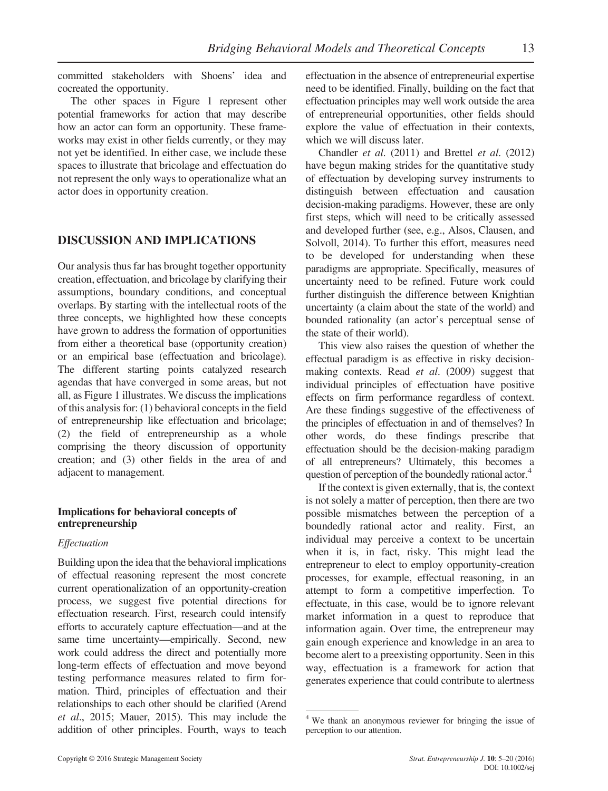committed stakeholders with Shoens' idea and cocreated the opportunity.

The other spaces in Figure 1 represent other potential frameworks for action that may describe how an actor can form an opportunity. These frameworks may exist in other fields currently, or they may not yet be identified. In either case, we include these spaces to illustrate that bricolage and effectuation do not represent the only ways to operationalize what an actor does in opportunity creation.

## DISCUSSION AND IMPLICATIONS

Our analysis thus far has brought together opportunity creation, effectuation, and bricolage by clarifying their assumptions, boundary conditions, and conceptual overlaps. By starting with the intellectual roots of the three concepts, we highlighted how these concepts have grown to address the formation of opportunities from either a theoretical base (opportunity creation) or an empirical base (effectuation and bricolage). The different starting points catalyzed research agendas that have converged in some areas, but not all, as Figure 1 illustrates. We discuss the implications of this analysis for: (1) behavioral concepts in the field of entrepreneurship like effectuation and bricolage; (2) the field of entrepreneurship as a whole comprising the theory discussion of opportunity creation; and (3) other fields in the area of and adjacent to management.

## Implications for behavioral concepts of entrepreneurship

## Effectuation

Building upon the idea that the behavioral implications of effectual reasoning represent the most concrete current operationalization of an opportunity-creation process, we suggest five potential directions for effectuation research. First, research could intensify efforts to accurately capture effectuation—and at the same time uncertainty—empirically. Second, new work could address the direct and potentially more long-term effects of effectuation and move beyond testing performance measures related to firm formation. Third, principles of effectuation and their relationships to each other should be clarified (Arend et al., 2015; Mauer, 2015). This may include the addition of other principles. Fourth, ways to teach effectuation in the absence of entrepreneurial expertise need to be identified. Finally, building on the fact that effectuation principles may well work outside the area of entrepreneurial opportunities, other fields should explore the value of effectuation in their contexts, which we will discuss later.

Chandler et al. (2011) and Brettel et al. (2012) have begun making strides for the quantitative study of effectuation by developing survey instruments to distinguish between effectuation and causation decision-making paradigms. However, these are only first steps, which will need to be critically assessed and developed further (see, e.g., Alsos, Clausen, and Solvoll, 2014). To further this effort, measures need to be developed for understanding when these paradigms are appropriate. Specifically, measures of uncertainty need to be refined. Future work could further distinguish the difference between Knightian uncertainty (a claim about the state of the world) and bounded rationality (an actor's perceptual sense of the state of their world).

This view also raises the question of whether the effectual paradigm is as effective in risky decisionmaking contexts. Read *et al.* (2009) suggest that individual principles of effectuation have positive effects on firm performance regardless of context. Are these findings suggestive of the effectiveness of the principles of effectuation in and of themselves? In other words, do these findings prescribe that effectuation should be the decision-making paradigm of all entrepreneurs? Ultimately, this becomes a question of perception of the boundedly rational actor.<sup>4</sup>

If the context is given externally, that is, the context is not solely a matter of perception, then there are two possible mismatches between the perception of a boundedly rational actor and reality. First, an individual may perceive a context to be uncertain when it is, in fact, risky. This might lead the entrepreneur to elect to employ opportunity-creation processes, for example, effectual reasoning, in an attempt to form a competitive imperfection. To effectuate, in this case, would be to ignore relevant market information in a quest to reproduce that information again. Over time, the entrepreneur may gain enough experience and knowledge in an area to become alert to a preexisting opportunity. Seen in this way, effectuation is a framework for action that generates experience that could contribute to alertness

<sup>4</sup> We thank an anonymous reviewer for bringing the issue of perception to our attention.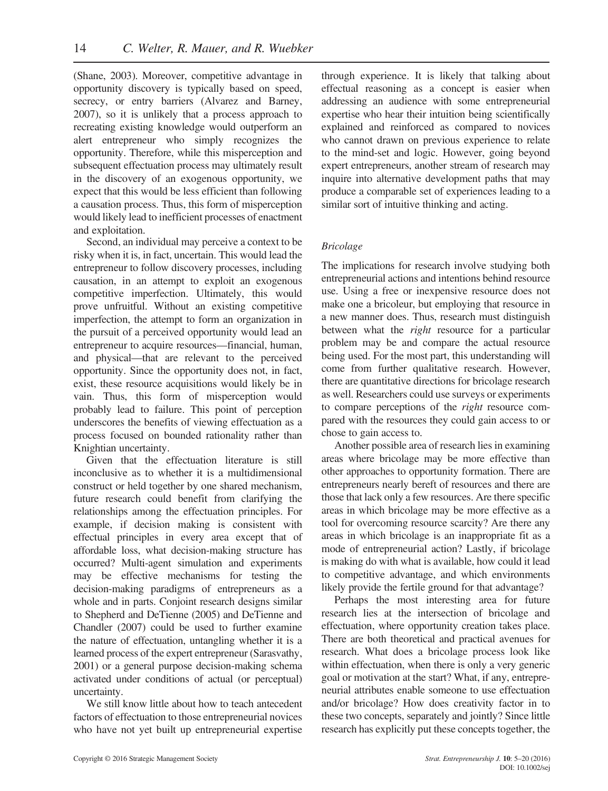(Shane, 2003). Moreover, competitive advantage in opportunity discovery is typically based on speed, secrecy, or entry barriers (Alvarez and Barney, 2007), so it is unlikely that a process approach to recreating existing knowledge would outperform an alert entrepreneur who simply recognizes the opportunity. Therefore, while this misperception and subsequent effectuation process may ultimately result in the discovery of an exogenous opportunity, we expect that this would be less efficient than following a causation process. Thus, this form of misperception would likely lead to inefficient processes of enactment and exploitation.

Second, an individual may perceive a context to be risky when it is, in fact, uncertain. This would lead the entrepreneur to follow discovery processes, including causation, in an attempt to exploit an exogenous competitive imperfection. Ultimately, this would prove unfruitful. Without an existing competitive imperfection, the attempt to form an organization in the pursuit of a perceived opportunity would lead an entrepreneur to acquire resources—financial, human, and physical—that are relevant to the perceived opportunity. Since the opportunity does not, in fact, exist, these resource acquisitions would likely be in vain. Thus, this form of misperception would probably lead to failure. This point of perception underscores the benefits of viewing effectuation as a process focused on bounded rationality rather than Knightian uncertainty.

Given that the effectuation literature is still inconclusive as to whether it is a multidimensional construct or held together by one shared mechanism, future research could benefit from clarifying the relationships among the effectuation principles. For example, if decision making is consistent with effectual principles in every area except that of affordable loss, what decision-making structure has occurred? Multi-agent simulation and experiments may be effective mechanisms for testing the decision-making paradigms of entrepreneurs as a whole and in parts. Conjoint research designs similar to Shepherd and DeTienne (2005) and DeTienne and Chandler (2007) could be used to further examine the nature of effectuation, untangling whether it is a learned process of the expert entrepreneur (Sarasvathy, 2001) or a general purpose decision-making schema activated under conditions of actual (or perceptual) uncertainty.

We still know little about how to teach antecedent factors of effectuation to those entrepreneurial novices who have not yet built up entrepreneurial expertise through experience. It is likely that talking about effectual reasoning as a concept is easier when addressing an audience with some entrepreneurial expertise who hear their intuition being scientifically explained and reinforced as compared to novices who cannot drawn on previous experience to relate to the mind-set and logic. However, going beyond expert entrepreneurs, another stream of research may inquire into alternative development paths that may produce a comparable set of experiences leading to a similar sort of intuitive thinking and acting.

## Bricolage

The implications for research involve studying both entrepreneurial actions and intentions behind resource use. Using a free or inexpensive resource does not make one a bricoleur, but employing that resource in a new manner does. Thus, research must distinguish between what the *right* resource for a particular problem may be and compare the actual resource being used. For the most part, this understanding will come from further qualitative research. However, there are quantitative directions for bricolage research as well. Researchers could use surveys or experiments to compare perceptions of the right resource compared with the resources they could gain access to or chose to gain access to.

Another possible area of research lies in examining areas where bricolage may be more effective than other approaches to opportunity formation. There are entrepreneurs nearly bereft of resources and there are those that lack only a few resources. Are there specific areas in which bricolage may be more effective as a tool for overcoming resource scarcity? Are there any areas in which bricolage is an inappropriate fit as a mode of entrepreneurial action? Lastly, if bricolage is making do with what is available, how could it lead to competitive advantage, and which environments likely provide the fertile ground for that advantage?

Perhaps the most interesting area for future research lies at the intersection of bricolage and effectuation, where opportunity creation takes place. There are both theoretical and practical avenues for research. What does a bricolage process look like within effectuation, when there is only a very generic goal or motivation at the start? What, if any, entrepreneurial attributes enable someone to use effectuation and/or bricolage? How does creativity factor in to these two concepts, separately and jointly? Since little research has explicitly put these concepts together, the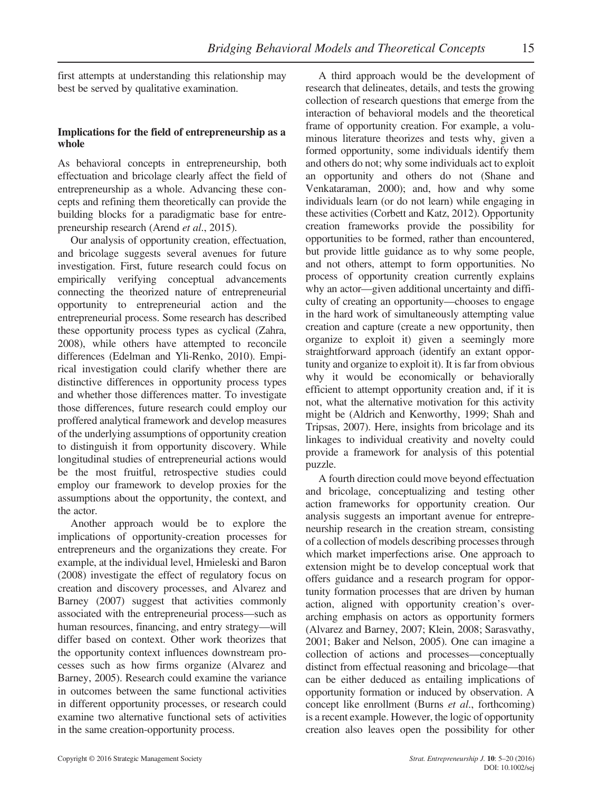first attempts at understanding this relationship may best be served by qualitative examination.

## Implications for the field of entrepreneurship as a whole

As behavioral concepts in entrepreneurship, both effectuation and bricolage clearly affect the field of entrepreneurship as a whole. Advancing these concepts and refining them theoretically can provide the building blocks for a paradigmatic base for entrepreneurship research (Arend et al., 2015).

Our analysis of opportunity creation, effectuation, and bricolage suggests several avenues for future investigation. First, future research could focus on empirically verifying conceptual advancements connecting the theorized nature of entrepreneurial opportunity to entrepreneurial action and the entrepreneurial process. Some research has described these opportunity process types as cyclical (Zahra, 2008), while others have attempted to reconcile differences (Edelman and Yli-Renko, 2010). Empirical investigation could clarify whether there are distinctive differences in opportunity process types and whether those differences matter. To investigate those differences, future research could employ our proffered analytical framework and develop measures of the underlying assumptions of opportunity creation to distinguish it from opportunity discovery. While longitudinal studies of entrepreneurial actions would be the most fruitful, retrospective studies could employ our framework to develop proxies for the assumptions about the opportunity, the context, and the actor.

Another approach would be to explore the implications of opportunity-creation processes for entrepreneurs and the organizations they create. For example, at the individual level, Hmieleski and Baron (2008) investigate the effect of regulatory focus on creation and discovery processes, and Alvarez and Barney (2007) suggest that activities commonly associated with the entrepreneurial process—such as human resources, financing, and entry strategy—will differ based on context. Other work theorizes that the opportunity context influences downstream processes such as how firms organize (Alvarez and Barney, 2005). Research could examine the variance in outcomes between the same functional activities in different opportunity processes, or research could examine two alternative functional sets of activities in the same creation-opportunity process.

A third approach would be the development of research that delineates, details, and tests the growing collection of research questions that emerge from the interaction of behavioral models and the theoretical frame of opportunity creation. For example, a voluminous literature theorizes and tests why, given a formed opportunity, some individuals identify them and others do not; why some individuals act to exploit an opportunity and others do not (Shane and Venkataraman, 2000); and, how and why some individuals learn (or do not learn) while engaging in these activities (Corbett and Katz, 2012). Opportunity creation frameworks provide the possibility for opportunities to be formed, rather than encountered, but provide little guidance as to why some people, and not others, attempt to form opportunities. No process of opportunity creation currently explains why an actor—given additional uncertainty and difficulty of creating an opportunity—chooses to engage in the hard work of simultaneously attempting value creation and capture (create a new opportunity, then organize to exploit it) given a seemingly more straightforward approach (identify an extant opportunity and organize to exploit it). It is far from obvious why it would be economically or behaviorally efficient to attempt opportunity creation and, if it is not, what the alternative motivation for this activity might be (Aldrich and Kenworthy, 1999; Shah and Tripsas, 2007). Here, insights from bricolage and its linkages to individual creativity and novelty could provide a framework for analysis of this potential puzzle.

A fourth direction could move beyond effectuation and bricolage, conceptualizing and testing other action frameworks for opportunity creation. Our analysis suggests an important avenue for entrepreneurship research in the creation stream, consisting of a collection of models describing processes through which market imperfections arise. One approach to extension might be to develop conceptual work that offers guidance and a research program for opportunity formation processes that are driven by human action, aligned with opportunity creation's overarching emphasis on actors as opportunity formers (Alvarez and Barney, 2007; Klein, 2008; Sarasvathy, 2001; Baker and Nelson, 2005). One can imagine a collection of actions and processes—conceptually distinct from effectual reasoning and bricolage—that can be either deduced as entailing implications of opportunity formation or induced by observation. A concept like enrollment (Burns et al., forthcoming) is a recent example. However, the logic of opportunity creation also leaves open the possibility for other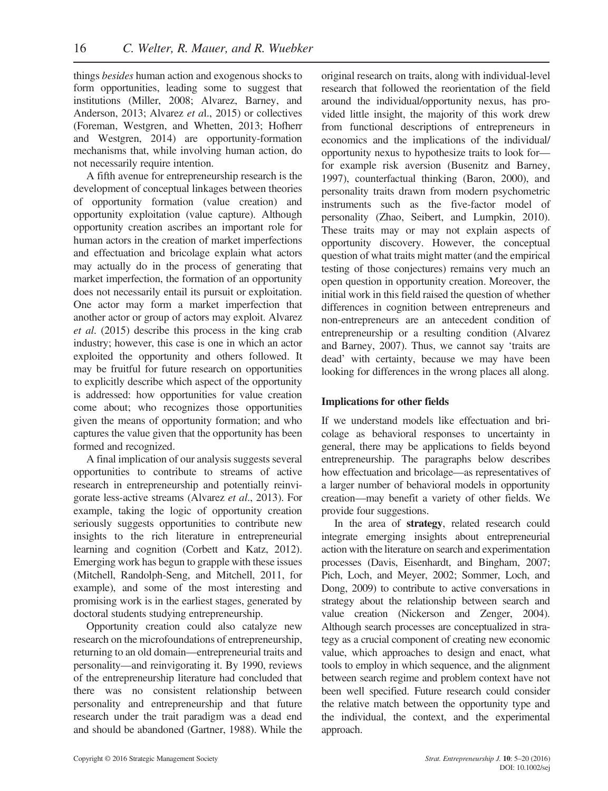things besides human action and exogenous shocks to form opportunities, leading some to suggest that institutions (Miller, 2008; Alvarez, Barney, and Anderson, 2013; Alvarez et al., 2015) or collectives (Foreman, Westgren, and Whetten, 2013; Hofherr and Westgren, 2014) are opportunity-formation mechanisms that, while involving human action, do not necessarily require intention.

A fifth avenue for entrepreneurship research is the development of conceptual linkages between theories of opportunity formation (value creation) and opportunity exploitation (value capture). Although opportunity creation ascribes an important role for human actors in the creation of market imperfections and effectuation and bricolage explain what actors may actually do in the process of generating that market imperfection, the formation of an opportunity does not necessarily entail its pursuit or exploitation. One actor may form a market imperfection that another actor or group of actors may exploit. Alvarez et al. (2015) describe this process in the king crab industry; however, this case is one in which an actor exploited the opportunity and others followed. It may be fruitful for future research on opportunities to explicitly describe which aspect of the opportunity is addressed: how opportunities for value creation come about; who recognizes those opportunities given the means of opportunity formation; and who captures the value given that the opportunity has been formed and recognized.

A final implication of our analysis suggests several opportunities to contribute to streams of active research in entrepreneurship and potentially reinvigorate less-active streams (Alvarez et al., 2013). For example, taking the logic of opportunity creation seriously suggests opportunities to contribute new insights to the rich literature in entrepreneurial learning and cognition (Corbett and Katz, 2012). Emerging work has begun to grapple with these issues (Mitchell, Randolph-Seng, and Mitchell, 2011, for example), and some of the most interesting and promising work is in the earliest stages, generated by doctoral students studying entrepreneurship.

Opportunity creation could also catalyze new research on the microfoundations of entrepreneurship, returning to an old domain—entrepreneurial traits and personality—and reinvigorating it. By 1990, reviews of the entrepreneurship literature had concluded that there was no consistent relationship between personality and entrepreneurship and that future research under the trait paradigm was a dead end and should be abandoned (Gartner, 1988). While the original research on traits, along with individual-level research that followed the reorientation of the field around the individual/opportunity nexus, has provided little insight, the majority of this work drew from functional descriptions of entrepreneurs in economics and the implications of the individual/ opportunity nexus to hypothesize traits to look for for example risk aversion (Busenitz and Barney, 1997), counterfactual thinking (Baron, 2000), and personality traits drawn from modern psychometric instruments such as the five-factor model of personality (Zhao, Seibert, and Lumpkin, 2010). These traits may or may not explain aspects of opportunity discovery. However, the conceptual question of what traits might matter (and the empirical testing of those conjectures) remains very much an open question in opportunity creation. Moreover, the initial work in this field raised the question of whether differences in cognition between entrepreneurs and non-entrepreneurs are an antecedent condition of entrepreneurship or a resulting condition (Alvarez and Barney, 2007). Thus, we cannot say 'traits are dead' with certainty, because we may have been looking for differences in the wrong places all along.

## Implications for other fields

If we understand models like effectuation and bricolage as behavioral responses to uncertainty in general, there may be applications to fields beyond entrepreneurship. The paragraphs below describes how effectuation and bricolage—as representatives of a larger number of behavioral models in opportunity creation—may benefit a variety of other fields. We provide four suggestions.

In the area of strategy, related research could integrate emerging insights about entrepreneurial action with the literature on search and experimentation processes (Davis, Eisenhardt, and Bingham, 2007; Pich, Loch, and Meyer, 2002; Sommer, Loch, and Dong, 2009) to contribute to active conversations in strategy about the relationship between search and value creation (Nickerson and Zenger, 2004). Although search processes are conceptualized in strategy as a crucial component of creating new economic value, which approaches to design and enact, what tools to employ in which sequence, and the alignment between search regime and problem context have not been well specified. Future research could consider the relative match between the opportunity type and the individual, the context, and the experimental approach.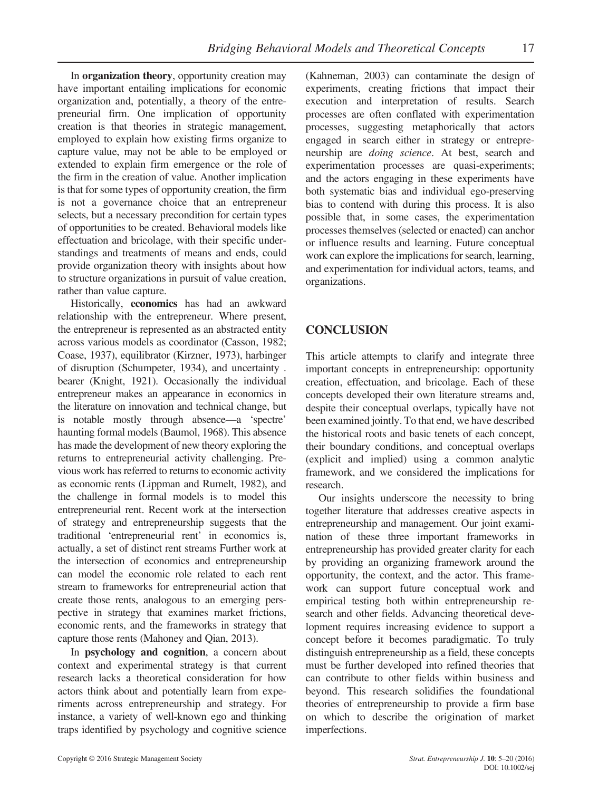In **organization theory**, opportunity creation may have important entailing implications for economic organization and, potentially, a theory of the entrepreneurial firm. One implication of opportunity creation is that theories in strategic management, employed to explain how existing firms organize to capture value, may not be able to be employed or extended to explain firm emergence or the role of the firm in the creation of value. Another implication is that for some types of opportunity creation, the firm is not a governance choice that an entrepreneur selects, but a necessary precondition for certain types of opportunities to be created. Behavioral models like effectuation and bricolage, with their specific understandings and treatments of means and ends, could provide organization theory with insights about how to structure organizations in pursuit of value creation, rather than value capture.

Historically, economics has had an awkward relationship with the entrepreneur. Where present, the entrepreneur is represented as an abstracted entity across various models as coordinator (Casson, 1982; Coase, 1937), equilibrator (Kirzner, 1973), harbinger of disruption (Schumpeter, 1934), and uncertainty . bearer (Knight, 1921). Occasionally the individual entrepreneur makes an appearance in economics in the literature on innovation and technical change, but is notable mostly through absence—a 'spectre' haunting formal models (Baumol, 1968). This absence has made the development of new theory exploring the returns to entrepreneurial activity challenging. Previous work has referred to returns to economic activity as economic rents (Lippman and Rumelt, 1982), and the challenge in formal models is to model this entrepreneurial rent. Recent work at the intersection of strategy and entrepreneurship suggests that the traditional 'entrepreneurial rent' in economics is, actually, a set of distinct rent streams Further work at the intersection of economics and entrepreneurship can model the economic role related to each rent stream to frameworks for entrepreneurial action that create those rents, analogous to an emerging perspective in strategy that examines market frictions, economic rents, and the frameworks in strategy that capture those rents (Mahoney and Qian, 2013).

In psychology and cognition, a concern about context and experimental strategy is that current research lacks a theoretical consideration for how actors think about and potentially learn from experiments across entrepreneurship and strategy. For instance, a variety of well-known ego and thinking traps identified by psychology and cognitive science (Kahneman, 2003) can contaminate the design of experiments, creating frictions that impact their execution and interpretation of results. Search processes are often conflated with experimentation processes, suggesting metaphorically that actors engaged in search either in strategy or entrepreneurship are doing science. At best, search and experimentation processes are quasi-experiments; and the actors engaging in these experiments have both systematic bias and individual ego-preserving bias to contend with during this process. It is also possible that, in some cases, the experimentation processes themselves (selected or enacted) can anchor or influence results and learning. Future conceptual work can explore the implications for search, learning, and experimentation for individual actors, teams, and organizations.

# **CONCLUSION**

This article attempts to clarify and integrate three important concepts in entrepreneurship: opportunity creation, effectuation, and bricolage. Each of these concepts developed their own literature streams and, despite their conceptual overlaps, typically have not been examined jointly. To that end, we have described the historical roots and basic tenets of each concept, their boundary conditions, and conceptual overlaps (explicit and implied) using a common analytic framework, and we considered the implications for research.

Our insights underscore the necessity to bring together literature that addresses creative aspects in entrepreneurship and management. Our joint examination of these three important frameworks in entrepreneurship has provided greater clarity for each by providing an organizing framework around the opportunity, the context, and the actor. This framework can support future conceptual work and empirical testing both within entrepreneurship research and other fields. Advancing theoretical development requires increasing evidence to support a concept before it becomes paradigmatic. To truly distinguish entrepreneurship as a field, these concepts must be further developed into refined theories that can contribute to other fields within business and beyond. This research solidifies the foundational theories of entrepreneurship to provide a firm base on which to describe the origination of market imperfections.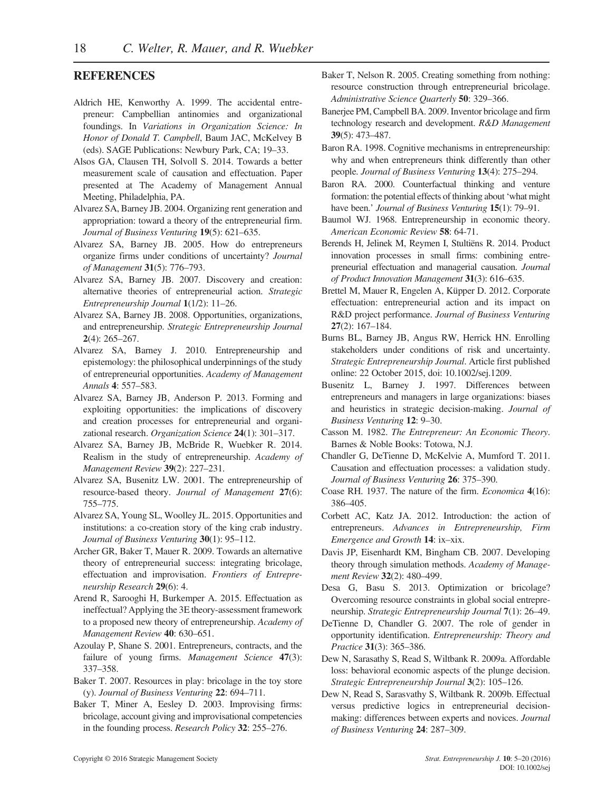## **REFERENCES**

- Aldrich HE, Kenworthy A. 1999. The accidental entrepreneur: Campbellian antinomies and organizational foundings. In Variations in Organization Science: In Honor of Donald T. Campbell, Baum JAC, McKelvey B (eds). SAGE Publications: Newbury Park, CA; 19–33.
- Alsos GA, Clausen TH, Solvoll S. 2014. Towards a better measurement scale of causation and effectuation. Paper presented at The Academy of Management Annual Meeting, Philadelphia, PA.
- Alvarez SA, Barney JB. 2004. Organizing rent generation and appropriation: toward a theory of the entrepreneurial firm. Journal of Business Venturing 19(5): 621–635.
- Alvarez SA, Barney JB. 2005. How do entrepreneurs organize firms under conditions of uncertainty? Journal of Management 31(5): 776–793.
- Alvarez SA, Barney JB. 2007. Discovery and creation: alternative theories of entrepreneurial action. Strategic Entrepreneurship Journal 1(1/2): 11–26.
- Alvarez SA, Barney JB. 2008. Opportunities, organizations, and entrepreneurship. Strategic Entrepreneurship Journal 2(4): 265–267.
- Alvarez SA, Barney J. 2010. Entrepreneurship and epistemology: the philosophical underpinnings of the study of entrepreneurial opportunities. Academy of Management Annals 4: 557–583.
- Alvarez SA, Barney JB, Anderson P. 2013. Forming and exploiting opportunities: the implications of discovery and creation processes for entrepreneurial and organizational research. Organization Science 24(1): 301–317.
- Alvarez SA, Barney JB, McBride R, Wuebker R. 2014. Realism in the study of entrepreneurship. Academy of Management Review 39(2): 227–231.
- Alvarez SA, Busenitz LW. 2001. The entrepreneurship of resource-based theory. Journal of Management 27(6): 755–775.
- Alvarez SA, Young SL, Woolley JL. 2015. Opportunities and institutions: a co-creation story of the king crab industry. Journal of Business Venturing 30(1): 95–112.
- Archer GR, Baker T, Mauer R. 2009. Towards an alternative theory of entrepreneurial success: integrating bricolage, effectuation and improvisation. Frontiers of Entrepreneurship Research 29(6): 4.
- Arend R, Sarooghi H, Burkemper A. 2015. Effectuation as ineffectual? Applying the 3E theory-assessment framework to a proposed new theory of entrepreneurship. Academy of Management Review 40: 630–651.
- Azoulay P, Shane S. 2001. Entrepreneurs, contracts, and the failure of young firms. Management Science 47(3): 337–358.
- Baker T. 2007. Resources in play: bricolage in the toy store (y). Journal of Business Venturing 22: 694–711.
- Baker T, Miner A, Eesley D. 2003. Improvising firms: bricolage, account giving and improvisational competencies in the founding process. Research Policy 32: 255–276.
- Baker T, Nelson R. 2005. Creating something from nothing: resource construction through entrepreneurial bricolage. Administrative Science Quarterly 50: 329-366.
- Banerjee PM, Campbell BA. 2009. Inventor bricolage and firm technology research and development. R&D Management 39(5): 473–487.
- Baron RA. 1998. Cognitive mechanisms in entrepreneurship: why and when entrepreneurs think differently than other people. Journal of Business Venturing 13(4): 275–294.
- Baron RA. 2000. Counterfactual thinking and venture formation: the potential effects of thinking about 'what might have been.' Journal of Business Venturing 15(1): 79–91.
- Baumol WJ. 1968. Entrepreneurship in economic theory. American Economic Review 58: 64-71.
- Berends H, Jelinek M, Reymen I, Stultiëns R. 2014. Product innovation processes in small firms: combining entrepreneurial effectuation and managerial causation. Journal of Product Innovation Management 31(3): 616–635.
- Brettel M, Mauer R, Engelen A, Küpper D. 2012. Corporate effectuation: entrepreneurial action and its impact on R&D project performance. Journal of Business Venturing 27(2): 167–184.
- Burns BL, Barney JB, Angus RW, Herrick HN. Enrolling stakeholders under conditions of risk and uncertainty. Strategic Entrepreneurship Journal. Article first published online: 22 October 2015, doi: 10.1002/sej.1209.
- Busenitz L, Barney J. 1997. Differences between entrepreneurs and managers in large organizations: biases and heuristics in strategic decision-making. Journal of Business Venturing 12: 9–30.
- Casson M. 1982. The Entrepreneur: An Economic Theory. Barnes & Noble Books: Totowa, N.J.
- Chandler G, DeTienne D, McKelvie A, Mumford T. 2011. Causation and effectuation processes: a validation study. Journal of Business Venturing 26: 375–390.
- Coase RH. 1937. The nature of the firm. Economica 4(16): 386–405.
- Corbett AC, Katz JA. 2012. Introduction: the action of entrepreneurs. Advances in Entrepreneurship, Firm Emergence and Growth 14: ix–xix.
- Davis JP, Eisenhardt KM, Bingham CB. 2007. Developing theory through simulation methods. Academy of Management Review 32(2): 480–499.
- Desa G, Basu S. 2013. Optimization or bricolage? Overcoming resource constraints in global social entrepreneurship. Strategic Entrepreneurship Journal 7(1): 26–49.
- DeTienne D, Chandler G. 2007. The role of gender in opportunity identification. Entrepreneurship: Theory and Practice 31(3): 365–386.
- Dew N, Sarasathy S, Read S, Wiltbank R. 2009a. Affordable loss: behavioral economic aspects of the plunge decision. Strategic Entrepreneurship Journal 3(2): 105–126.
- Dew N, Read S, Sarasvathy S, Wiltbank R. 2009b. Effectual versus predictive logics in entrepreneurial decisionmaking: differences between experts and novices. Journal of Business Venturing 24: 287–309.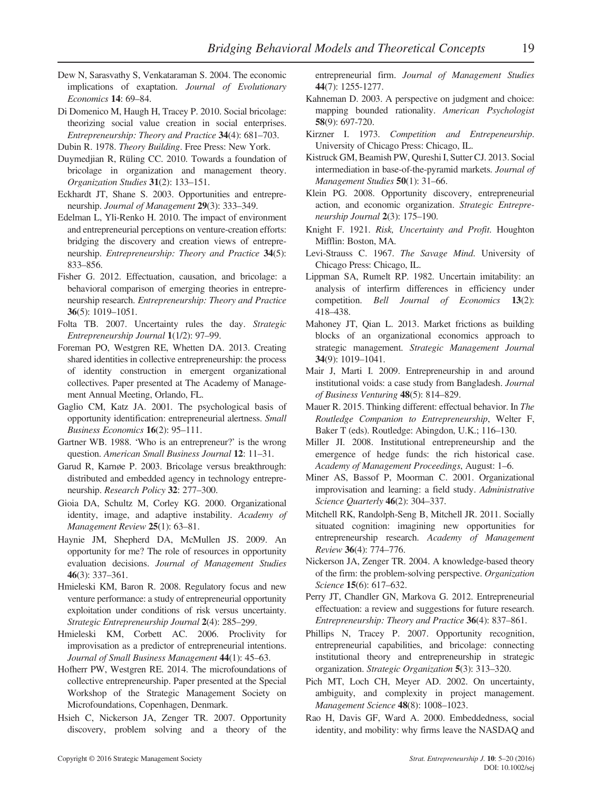- Dew N, Sarasvathy S, Venkataraman S. 2004. The economic implications of exaptation. Journal of Evolutionary Economics 14: 69–84.
- Di Domenico M, Haugh H, Tracey P. 2010. Social bricolage: theorizing social value creation in social enterprises. Entrepreneurship: Theory and Practice 34(4): 681–703.
- Dubin R. 1978. Theory Building. Free Press: New York.
- Duymedjian R, Rüling CC. 2010. Towards a foundation of bricolage in organization and management theory. Organization Studies 31(2): 133–151.
- Eckhardt JT, Shane S. 2003. Opportunities and entrepreneurship. Journal of Management 29(3): 333–349.
- Edelman L, Yli-Renko H. 2010. The impact of environment and entrepreneurial perceptions on venture-creation efforts: bridging the discovery and creation views of entrepreneurship. Entrepreneurship: Theory and Practice 34(5): 833–856.
- Fisher G. 2012. Effectuation, causation, and bricolage: a behavioral comparison of emerging theories in entrepreneurship research. Entrepreneurship: Theory and Practice 36(5): 1019–1051.
- Folta TB. 2007. Uncertainty rules the day. Strategic Entrepreneurship Journal 1(1/2): 97–99.
- Foreman PO, Westgren RE, Whetten DA. 2013. Creating shared identities in collective entrepreneurship: the process of identity construction in emergent organizational collectives. Paper presented at The Academy of Management Annual Meeting, Orlando, FL.
- Gaglio CM, Katz JA. 2001. The psychological basis of opportunity identification: entrepreneurial alertness. Small Business Economics 16(2): 95–111.
- Gartner WB. 1988. 'Who is an entrepreneur?' is the wrong question. American Small Business Journal 12: 11–31.
- Garud R, Karnøe P. 2003. Bricolage versus breakthrough: distributed and embedded agency in technology entrepreneurship. Research Policy 32: 277–300.
- Gioia DA, Schultz M, Corley KG. 2000. Organizational identity, image, and adaptive instability. Academy of Management Review 25(1): 63–81.
- Haynie JM, Shepherd DA, McMullen JS. 2009. An opportunity for me? The role of resources in opportunity evaluation decisions. Journal of Management Studies 46(3): 337–361.
- Hmieleski KM, Baron R. 2008. Regulatory focus and new venture performance: a study of entrepreneurial opportunity exploitation under conditions of risk versus uncertainty. Strategic Entrepreneurship Journal 2(4): 285–299.
- Hmieleski KM, Corbett AC. 2006. Proclivity for improvisation as a predictor of entrepreneurial intentions. Journal of Small Business Management 44(1): 45-63.
- Hofherr PW, Westgren RE. 2014. The microfoundations of collective entrepreneurship. Paper presented at the Special Workshop of the Strategic Management Society on Microfoundations, Copenhagen, Denmark.
- Hsieh C, Nickerson JA, Zenger TR. 2007. Opportunity discovery, problem solving and a theory of the

entrepreneurial firm. Journal of Management Studies 44(7): 1255-1277.

- Kahneman D. 2003. A perspective on judgment and choice: mapping bounded rationality. American Psychologist 58(9): 697-720.
- Kirzner I. 1973. Competition and Entrepeneurship. University of Chicago Press: Chicago, IL.
- Kistruck GM, Beamish PW, Qureshi I, Sutter CJ. 2013. Social intermediation in base-of-the-pyramid markets. Journal of Management Studies **50**(1): 31–66.
- Klein PG. 2008. Opportunity discovery, entrepreneurial action, and economic organization. Strategic Entrepreneurship Journal 2(3): 175–190.
- Knight F. 1921. Risk, Uncertainty and Profit. Houghton Mifflin: Boston, MA.
- Levi-Strauss C. 1967. The Savage Mind. University of Chicago Press: Chicago, IL.
- Lippman SA, Rumelt RP. 1982. Uncertain imitability: an analysis of interfirm differences in efficiency under competition. Bell Journal of Economics 13(2): 418–438.
- Mahoney JT, Qian L. 2013. Market frictions as building blocks of an organizational economics approach to strategic management. Strategic Management Journal 34(9): 1019–1041.
- Mair J, Marti I. 2009. Entrepreneurship in and around institutional voids: a case study from Bangladesh. Journal of Business Venturing 48(5): 814–829.
- Mauer R. 2015. Thinking different: effectual behavior. In The Routledge Companion to Entrepreneurship, Welter F, Baker T (eds). Routledge: Abingdon, U.K.; 116–130.
- Miller JI. 2008. Institutional entrepreneurship and the emergence of hedge funds: the rich historical case. Academy of Management Proceedings, August: 1–6.
- Miner AS, Bassof P, Moorman C. 2001. Organizational improvisation and learning: a field study. Administrative Science Quarterly 46(2): 304–337.
- Mitchell RK, Randolph-Seng B, Mitchell JR. 2011. Socially situated cognition: imagining new opportunities for entrepreneurship research. Academy of Management Review 36(4): 774–776.
- Nickerson JA, Zenger TR. 2004. A knowledge-based theory of the firm: the problem-solving perspective. Organization Science 15(6): 617–632.
- Perry JT, Chandler GN, Markova G. 2012. Entrepreneurial effectuation: a review and suggestions for future research. Entrepreneurship: Theory and Practice 36(4): 837–861.
- Phillips N, Tracey P. 2007. Opportunity recognition, entrepreneurial capabilities, and bricolage: connecting institutional theory and entrepreneurship in strategic organization. Strategic Organization 5(3): 313–320.
- Pich MT, Loch CH, Meyer AD. 2002. On uncertainty, ambiguity, and complexity in project management. Management Science 48(8): 1008–1023.
- Rao H, Davis GF, Ward A. 2000. Embeddedness, social identity, and mobility: why firms leave the NASDAQ and